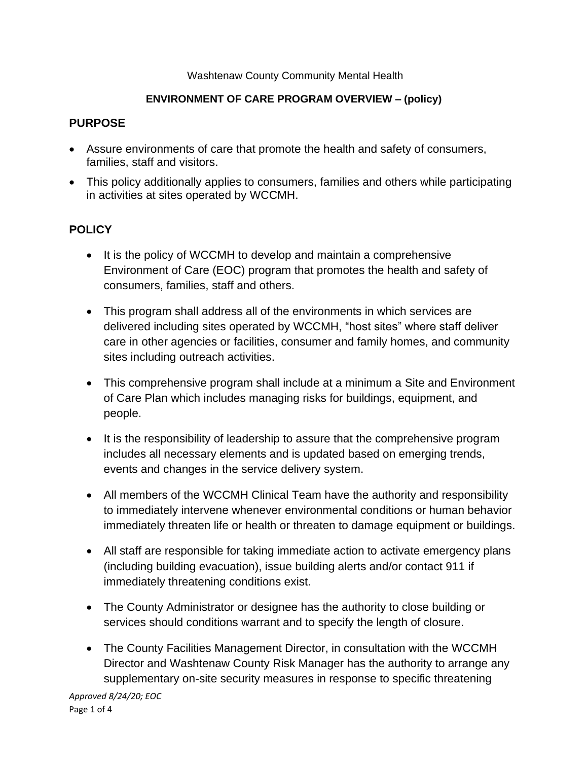#### Washtenaw County Community Mental Health

#### **ENVIRONMENT OF CARE PROGRAM OVERVIEW – (policy)**

#### **PURPOSE**

- Assure environments of care that promote the health and safety of consumers, families, staff and visitors.
- This policy additionally applies to consumers, families and others while participating in activities at sites operated by WCCMH.

# **POLICY**

- It is the policy of WCCMH to develop and maintain a comprehensive Environment of Care (EOC) program that promotes the health and safety of consumers, families, staff and others.
- This program shall address all of the environments in which services are delivered including sites operated by WCCMH, "host sites" where staff deliver care in other agencies or facilities, consumer and family homes, and community sites including outreach activities.
- This comprehensive program shall include at a minimum a Site and Environment of Care Plan which includes managing risks for buildings, equipment, and people.
- It is the responsibility of leadership to assure that the comprehensive program includes all necessary elements and is updated based on emerging trends, events and changes in the service delivery system.
- All members of the WCCMH Clinical Team have the authority and responsibility to immediately intervene whenever environmental conditions or human behavior immediately threaten life or health or threaten to damage equipment or buildings.
- All staff are responsible for taking immediate action to activate emergency plans (including building evacuation), issue building alerts and/or contact 911 if immediately threatening conditions exist.
- The County Administrator or designee has the authority to close building or services should conditions warrant and to specify the length of closure.
- The County Facilities Management Director, in consultation with the WCCMH Director and Washtenaw County Risk Manager has the authority to arrange any supplementary on-site security measures in response to specific threatening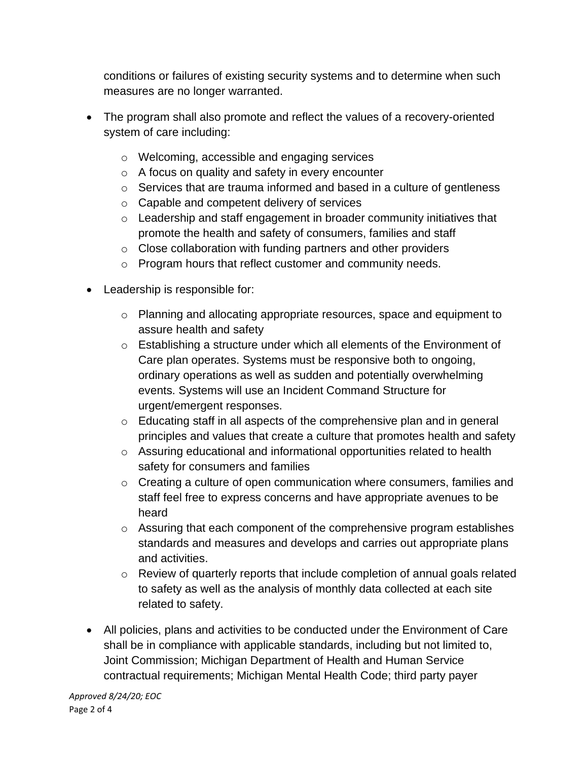conditions or failures of existing security systems and to determine when such measures are no longer warranted.

- The program shall also promote and reflect the values of a recovery-oriented system of care including:
	- o Welcoming, accessible and engaging services
	- o A focus on quality and safety in every encounter
	- o Services that are trauma informed and based in a culture of gentleness
	- o Capable and competent delivery of services
	- $\circ$  Leadership and staff engagement in broader community initiatives that promote the health and safety of consumers, families and staff
	- o Close collaboration with funding partners and other providers
	- o Program hours that reflect customer and community needs.
- Leadership is responsible for:
	- o Planning and allocating appropriate resources, space and equipment to assure health and safety
	- o Establishing a structure under which all elements of the Environment of Care plan operates. Systems must be responsive both to ongoing, ordinary operations as well as sudden and potentially overwhelming events. Systems will use an Incident Command Structure for urgent/emergent responses.
	- o Educating staff in all aspects of the comprehensive plan and in general principles and values that create a culture that promotes health and safety
	- o Assuring educational and informational opportunities related to health safety for consumers and families
	- $\circ$  Creating a culture of open communication where consumers, families and staff feel free to express concerns and have appropriate avenues to be heard
	- o Assuring that each component of the comprehensive program establishes standards and measures and develops and carries out appropriate plans and activities.
	- o Review of quarterly reports that include completion of annual goals related to safety as well as the analysis of monthly data collected at each site related to safety.
- All policies, plans and activities to be conducted under the Environment of Care shall be in compliance with applicable standards, including but not limited to, Joint Commission; Michigan Department of Health and Human Service contractual requirements; Michigan Mental Health Code; third party payer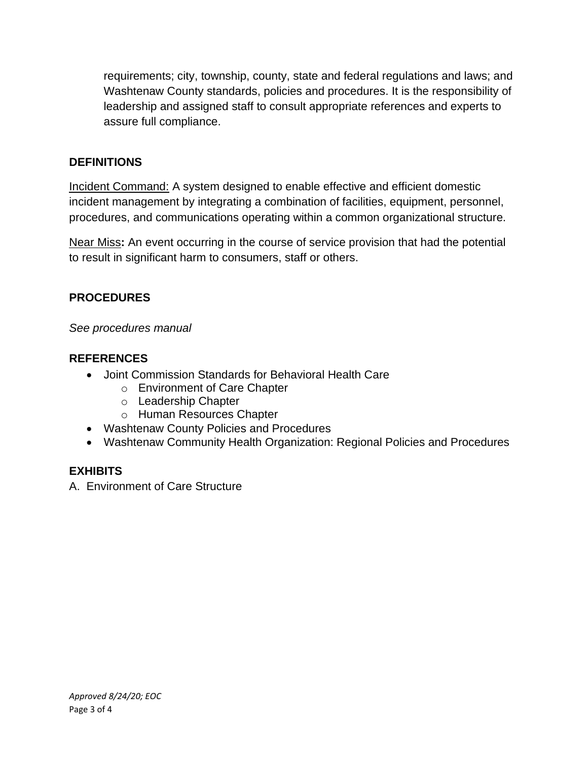requirements; city, township, county, state and federal regulations and laws; and Washtenaw County standards, policies and procedures. It is the responsibility of leadership and assigned staff to consult appropriate references and experts to assure full compliance.

## **DEFINITIONS**

Incident Command: A system designed to enable effective and efficient domestic incident management by integrating a combination of facilities, equipment, personnel, procedures, and communications operating within a common organizational structure.

Near Miss**:** An event occurring in the course of service provision that had the potential to result in significant harm to consumers, staff or others.

## **PROCEDURES**

*See procedures manual*

## **REFERENCES**

- Joint Commission Standards for Behavioral Health Care
	- o Environment of Care Chapter
	- o Leadership Chapter
	- o Human Resources Chapter
- Washtenaw County Policies and Procedures
- Washtenaw Community Health Organization: Regional Policies and Procedures

## **EXHIBITS**

A. Environment of Care Structure